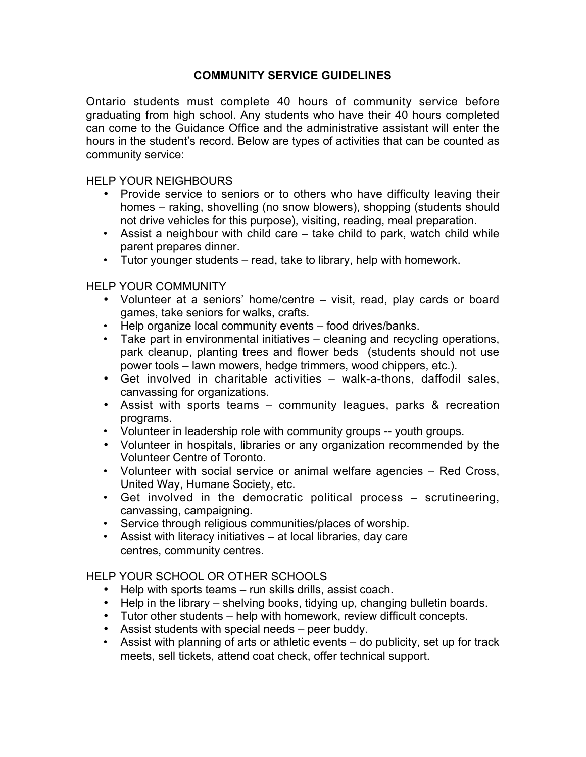## **COMMUNITY SERVICE GUIDELINES**

Ontario students must complete 40 hours of community service before graduating from high school. Any students who have their 40 hours completed can come to the Guidance Office and the administrative assistant will enter the hours in the student's record. Below are types of activities that can be counted as community service:

HELP YOUR NEIGHBOURS

- Provide service to seniors or to others who have difficulty leaving their homes – raking, shovelling (no snow blowers), shopping (students should not drive vehicles for this purpose), visiting, reading, meal preparation.
- Assist a neighbour with child care take child to park, watch child while parent prepares dinner.
- Tutor younger students read, take to library, help with homework.

HELP YOUR COMMUNITY

- Volunteer at a seniors' home/centre visit, read, play cards or board games, take seniors for walks, crafts.
- Help organize local community events food drives/banks.
- Take part in environmental initiatives cleaning and recycling operations, park cleanup, planting trees and flower beds (students should not use power tools – lawn mowers, hedge trimmers, wood chippers, etc.).
- Get involved in charitable activities walk-a-thons, daffodil sales, canvassing for organizations.
- Assist with sports teams community leagues, parks & recreation programs.
- Volunteer in leadership role with community groups -- youth groups.
- Volunteer in hospitals, libraries or any organization recommended by the Volunteer Centre of Toronto.
- Volunteer with social service or animal welfare agencies Red Cross, United Way, Humane Society, etc.
- Get involved in the democratic political process scrutineering, canvassing, campaigning.
- Service through religious communities/places of worship.
- Assist with literacy initiatives at local libraries, day care centres, community centres.

## HELP YOUR SCHOOL OR OTHER SCHOOLS

- Help with sports teams run skills drills, assist coach.
- Help in the library shelving books, tidying up, changing bulletin boards.
- Tutor other students help with homework, review difficult concepts.
- Assist students with special needs peer buddy.
- Assist with planning of arts or athletic events do publicity, set up for track meets, sell tickets, attend coat check, offer technical support.